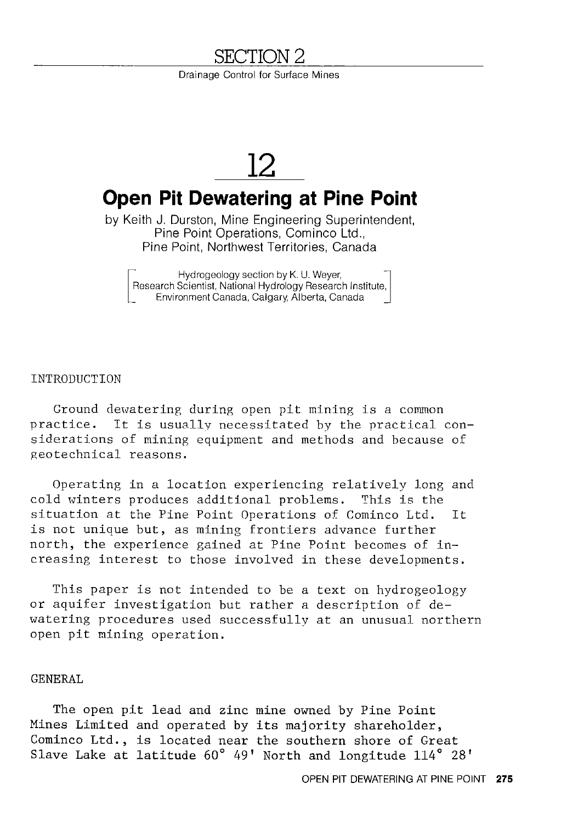# <u>SECTION 2</u>

Drainage Control for Surface Mines

# **12**

# **Open Pit Dewatering at Pine Point**

by Keith J. Durston, Mine Engineering Superintendent, Pine Point Operations, Cominco Ltd., Pine Point, Northwest Territories, Canada

~ Hydrogeology section by K. U. Weyer,<br>
Research Scientist, National Hydrology Research Institute,<br>
Environment Canada, Calgary, Alberta, Canada Research Scientist, National Hydrology Research Institute, Environment Canada, Calgary, Alberta, Canada

#### INTRODUCTION

Ground dewatering during open pit mining is a common practice. It is usually necessitated by the practical considerations of mining equipment and methods and because of geotechnical reasons.

Operating in a location experiencing relatively long and cold winters produces additional problems. This is the situation at the Pine Point Operations of Cominco Ltd. It is not unique but, as mining frontiers advance further north, the experience gained at Pine Point becomes of increasing interest to those involved in these developments.

This paper is not intended to be a text on hydrogeology or aquifer investigation but rather a description of dewatering procedures used successfully at an unusual northern open pit mining operation.

#### GENERAL

The open pit lead and zinc mine owned by Pine Point Mines Limited and operated by its majority shareholder, Cominco Ltd., is located near the southern shore of Great Slave Lake at latitude 60° 49' North and longitude 114° 28'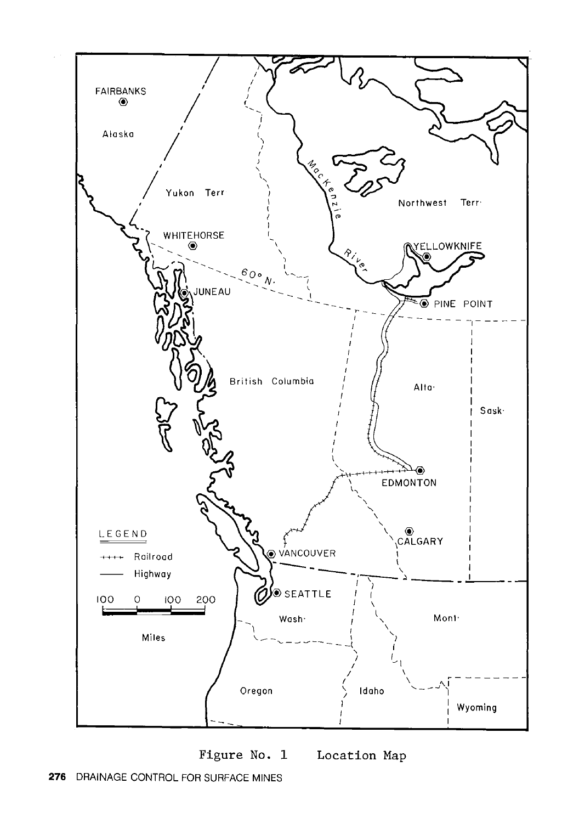

**Figure** No. **1 Location Map**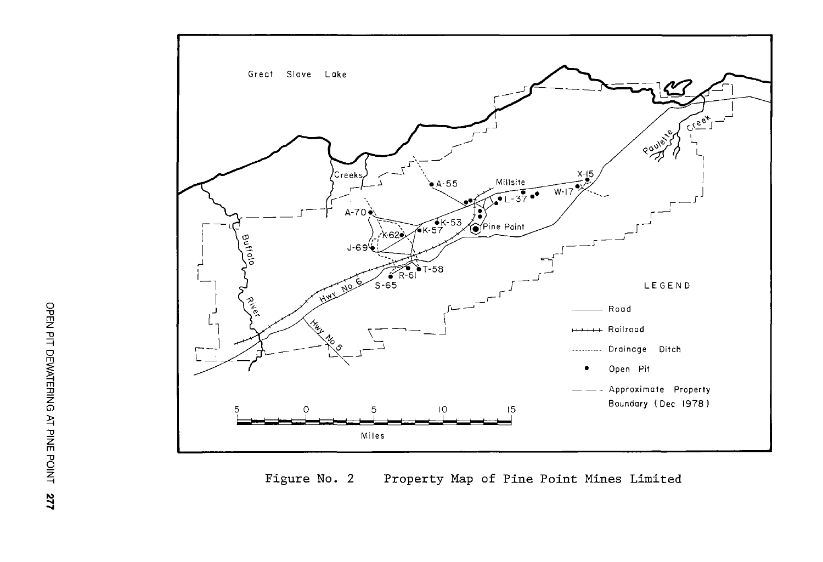

**Figure** No. 2 **Property Map of Pine Point Mines Limited**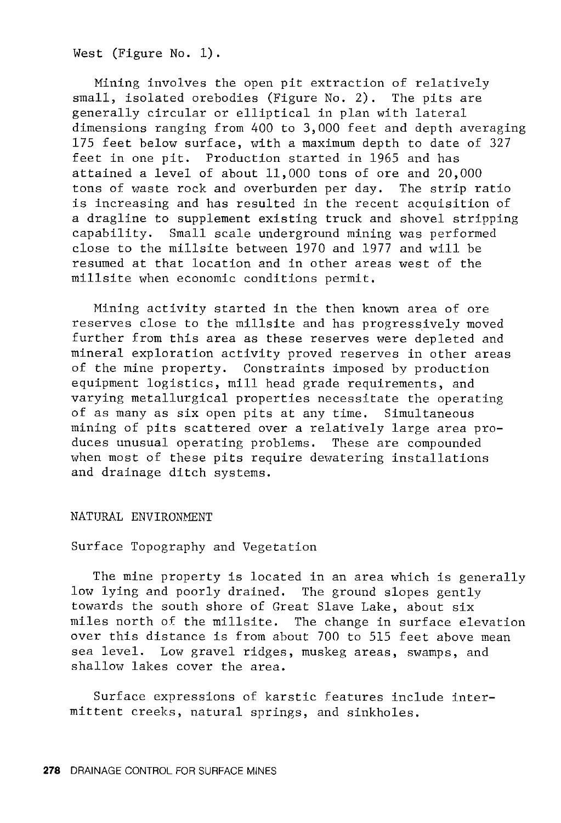West (Figure No. 1).

Mining involves the open pit extraction of relatively small, isolated orebodies (Figure No. 2). The pits are generally circular or elliptical in plan with lateral dimensions ranging from 400 to 3,000 feet and depth averaging 175 feet below surface, with a maximum depth to date of 327 feet in one pit. Production started in 1965 and has attained a level of about 11,000 tons of ore and 20,000 tons of waste rock and overburden per day. The strip ratio is increasing and has resulted in the recent acquisition of a dragline to supplement existing truck and shovel stripping capability. Small scale underground mining was performed close to the millsite between 1970 and 1977 and will be resumed at that location and in other areas west of the millsite when economic conditions permit.

Mining activity started in the then known area of ore reserves close to the millsite and has progressively moved further from this area as these reserves were depleted and mineral exploration activity proved reserves in other areas of the mine property. Constraints imposed by production equipment logistics, mill head grade requirements, and varying metallurgical properties necessitate the operating of as many as six open pits at any time. Simultaneous mining of pits scattered over a relatively large area produces unusual operating problems. These are compounded when most of these pits require dewatering installations and drainage ditch systems.

NATURAL ENVIRONMENT

Surface Topography and Vegetation

The mine property is located in an area which is generally low lying and poorly drained. The ground slopes gently towards the south shore of Great Slave Lake, about six miles north of the millsite. The change in surface elevation over this distance is from about 700 to 515 feet above mean sea level. Low gravel ridges, muskeg areas, swamps, and shallow lakes cover the area.

Surface expressions of karstic features include intermittent creeks, natural springs, and sinkholes.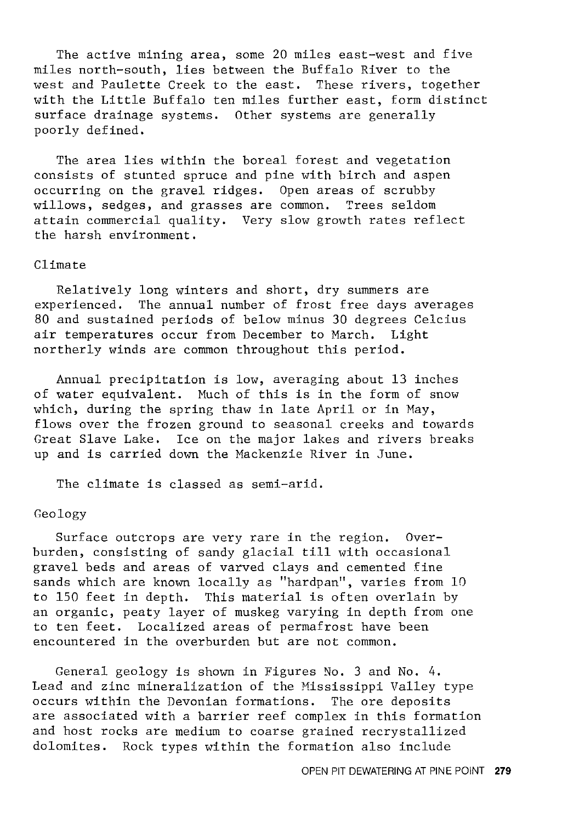The active mining area, some 20 miles east-west and five miles north-south, lies between the Buffalo River to the<br>west and Paulette Creek to the east. These rivers, together west and Paulette Creek to the east. with the Little Buffalo ten miles further east, form distinct surface drainage systems. Other systems are generally poorly defined.

The area lies within the boreal forest and vegetation consists of stunted spruce and pine with birch and aspen occurring on the gravel ridges. Open areas of scrubby willows, sedges, and grasses are common. Trees seldom attain commercial quality. Very slow growth rates reflect the harsh environment.

# Climate

Relatively long winters and short, dry summers are experienced. The annual number of frost free days averages 80 and sustained periods of below minus 30 degrees Celcius air temperatures occur from December to March. Light northerly winds are common throughout this period.

Annual precipitation is low, averaging about 13 inches of water equivalent. Much of this is in the form of snow which, during the spring thaw in late April or in May, flows over the frozen ground to seasonal creeks and towards Great Slave Lake. Ice on the major lakes and rivers breaks up and is carried down the Mackenzie River in June.

The climate is classed as semi-arid.

# Geology

Surface outcrops are very rare in the region. Overburden, consisting of sandy glacial till with occasional gravel beds and areas of varved clays and cemented fine sands which are known locally as "hardpan", varies from 10 to 150 feet in depth. This material is often overlain by an organic, peaty layer of muskeg varying in depth from one to ten feet. Localized areas of permafrost have been encountered in the overburden but are not common.

General geology is shown in Figures *No.* 3 and No. 4. Lead and zinc mineralization of the Mississippi Valley type occurs within the Devonian formations. The ore deposits are associated with a barrier reef complex in this formation and host rocks are medium to coarse grained recrystallized dolomites. Rock types within the formation also include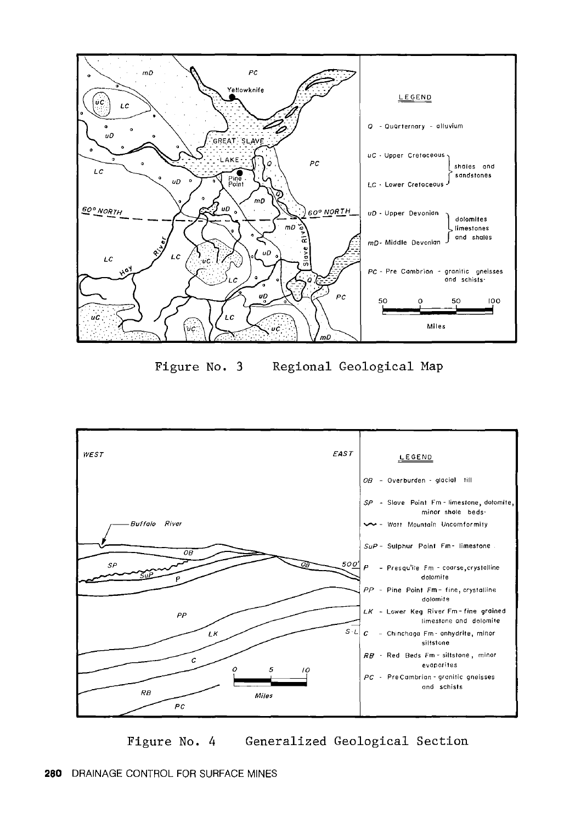

Figure No. 3 Regional Geological Map



Figure No. 4 Generalized Geological Section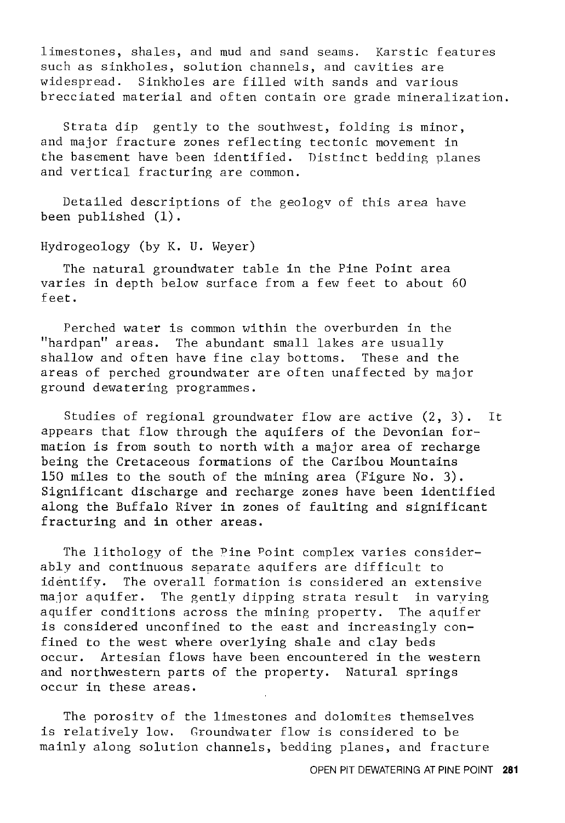limestones, shales, and mud and sand seams. Karstic features such as sinkholes, solution channels, and cavities are widespread. Sinkholes are filled with sands and various brecciated material and often contain ore grade mineralization.

Strata dip gently to the southwest, folding is minor, and major fracture zones reflecting tectonic movement in the basement have been identified. Distinct bedding planes and vertical fracturing are common.

Detailed descriptions of the geologv of this area have been published (1).

# Hydrogeology (by K. U. Weyer)

The natural groundwater table in the Pine Point area varies in depth below surface from a few feet to about 60 feet.

Perched water is common within the overburden in the "hardpan" areas. The abundant small lakes are usually shallow and often have fine clay bottoms. These and the areas of perched groundwater are often unaffected by major ground dewatering programmes.

Studies of regional groundwater flow are active (2, 3). It appears that flow through the aquifers of the Devonian formation is from south to north with a major area of recharge being the Cretaceous formations of the Caribou Mountains 150 miles to the south of the mining area (Figure No. 3). Significant discharge and recharge zones have been identified along the Buffalo River in zones of faulting and significant fracturing and in other areas.

The lithology of the Pine Point complex varies considerably and continuous separate aquifers are difficult to identify. The overall formation is considered an extensive major aquifer. The gently dipping strata result in varving aquifer conditions across the mining property. The aquifer is considered unconfined to the east and increasingly confined to the west where overlying shale and clay beds occur. Artesian flows have been encountered in the western and northwestern parts of the property. Natural springs occur in these areas.

The porosity of the limestones and dolomites themselves is relatively low. Groundwater flow is considered to be mainly along solution channels, bedding planes, and fracture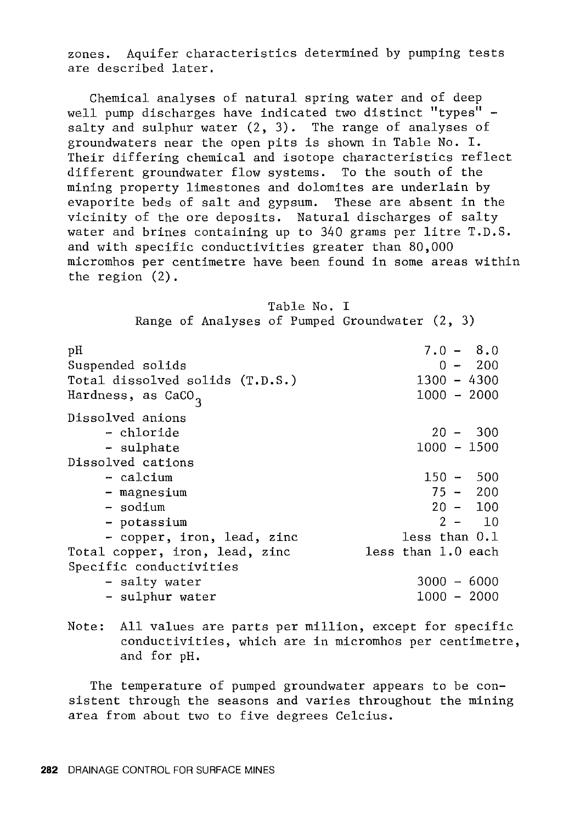zones. Aquifer characteristics determined by pumping tests are described later.

Chemical analyses of natural spring water and of deep well pump discharges have indicated two distinct "types" salty and sulphur water (2, 3). The range of analyses of groundwaters near the open pits is shown in Table No. I. Their differing chemical and isotope characteristics reflect different groundwater flow systems. To the south of the mining property limestones and dolomites are underlain by evaporite beds of salt and gypsum. These are absent in the vicinity of the ore deposits. Natural discharges of salty water and brines containing up to 340 grams per litre T.D.S. and with specific conductivities greater than 80,000 micromhos per centimetre have been found in some areas within the region (2).

| Table No. |  |  |
|-----------|--|--|
|-----------|--|--|

Range of Analyses of Pumped Groundwater (2, 3)

| рH<br>Suspended solids          | $7.0 - 8.0$<br>$0 - 200$ |
|---------------------------------|--------------------------|
| Total dissolved solids (T.D.S.) | $1300 - 4300$            |
| Hardness, as CaCO <sub>3</sub>  | $1000 - 2000$            |
| Dissolved anions                |                          |
| – chloride                      | $20 - 300$               |
| - sulphate                      | $1000 - 1500$            |
| Dissolved cations               |                          |
| - calcium                       | $150 - 500$              |
| - magnesium                     | $75 - 200$               |
| - sodium                        | $20 - 100$               |
| - potassium                     | $2 - 10$                 |
| - copper, iron, lead, zinc      | less than 0.1            |
| Total copper, iron, lead, zinc  | less than 1.0 each       |
| Specific conductivities         |                          |
| - salty water                   | $3000 - 6000$            |
| - sulphur water                 | $1000 - 2000$            |

Note: All values are parts per million, except for specific conductivities, which are in micromhos per centimetre, and for pH.

The temperature of pumped groundwater appears to be consistent through the seasons and varies throughout the mining area from about two to five degrees Celcius.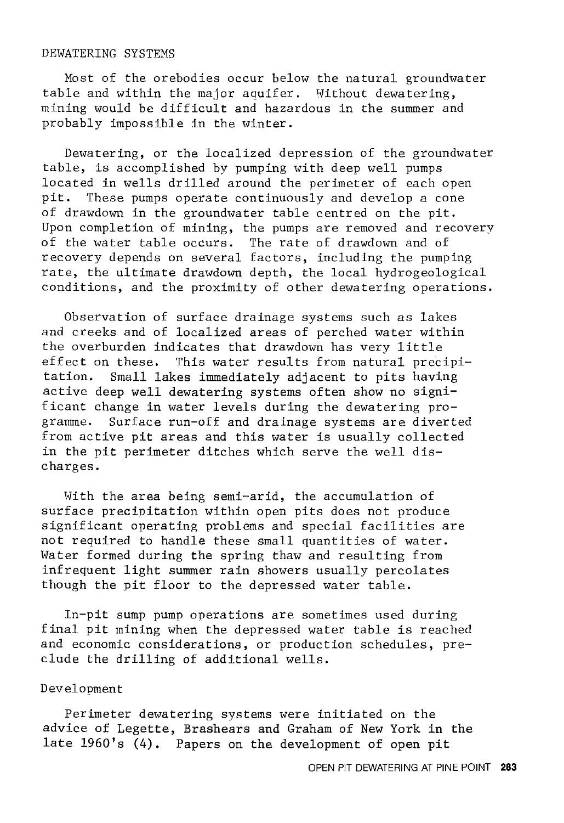#### DEWATERING SYSTEMS

Most of the orebodies occur below the natural groundwater table and within the major aquifer. Without dewatering, mining would be difficult and hazardous in the summer and probably impossible in the winter.

Dewatering, or the localized depression of the groundwater table, is accomplished by pumping with deep well pumps located in wells drilled around the perimeter of each open pit. These pumps operate continuously and develop a cone of drawdown in the groundwater table centred on the pit. Upon completion of mining, the pumps are removed and recovery of the water table occurs. The rate of drawdown and of recovery depends on several factors, including the pumping rate, the ultimate drawdown depth, the local hydrogeological conditions, and the proximity of other dewatering operations.

Observation of surface drainage systems such as lakes and creeks and of localized areas of perched water within the overburden indicates that drawdown has very little effect on these. This water results from natural precipitation. Small lakes immediately adjacent to pits having active deep well dewatering systems often show no significant change in water levels during the dewatering programme. Surface run-off and drainage systems are diverted from active pit areas and this water is usually collected in the pit perimeter ditches which serve the well discharges.

With the area being semi-arid, the accumulation of surface precipitation within open pits does not produce significant operating problems and special facilities are not required to handle these small quantities of water. Water formed during the spring thaw and resulting from infrequent light summer rain showers usually percolates though the pit floor to the depressed water table.

In-pit sump pump operations are sometimes used during final pit mining when the depressed water table is reached and economic considerations, or production schedules, preclude the drilling of additional wells.

# Development

Perimeter dewatering systems were initiated on the advice of Legette, Brashears and Graham of New York in the late 1960's (4). Papers on the development of open pit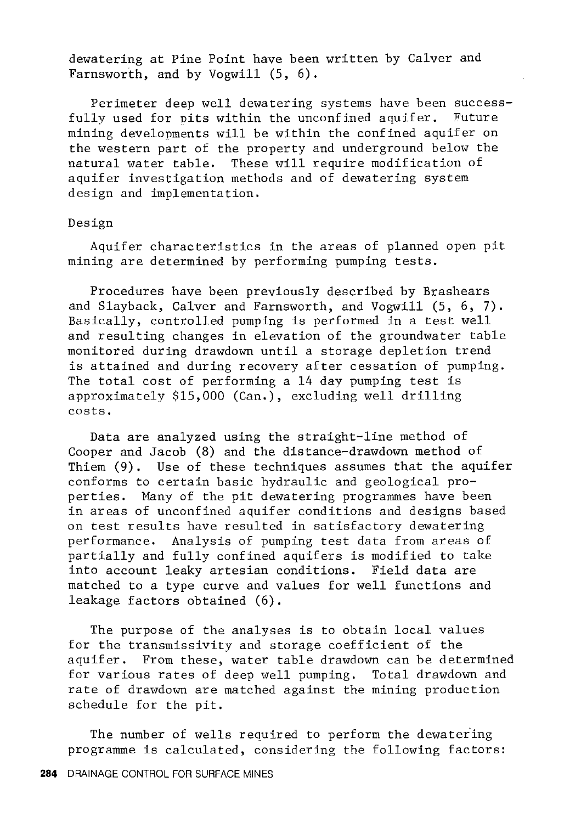dewatering at Pine Point have been written by Calver and Farnsworth, and by Vogwill (5, 6).

Perimeter deep well dewatering systems have been successfully used for pits within the unconfined aquifer. Future mining developments will be within the confined aquifer on the western part of the property and underground below the natural water table. These will require modification of aquifer investigation methods and of dewatering system design and implementation.

#### Design

Aquifer characteristics in the areas of planned open pit mining are determined by performing pumping tests.

Procedures have been previously described by Brashears and Slayback, Calver and Farnsworth, and Vogwill (5, 6, 7). Basically, controlled pumping is performed in a test well and resulting changes in elevation of the groundwater table monitored during drawdown until a storage depletion trend is attained and during recovery after cessation of pumping. The total cost of performing a 14 day pumping test is approximately \$15,000 (Can.), excluding well drilling costs.

Data are analyzed using the straight-line method of Cooper and Jacob (8) and the distance-drawdown method of Thiem (9). Use of these techniques assumes that the aquifer conforms to certain basic hydraulic and geological properties. Many of the pit dewatering programmes have been in areas of unconfined aquifer conditions and designs based on test results have resulted in satisfactory dewatering performance. Analysis of pumping test data from areas of partially and fully confined aquifers is modified to take into account leaky artesian conditions. Field data are matched to a type curve and values for well functions and leakage factors obtained (6).

The purpose of the analyses is to obtain local values for the transmissivity and storage coefficient of the aquifer. From these, water table drawdown can be determined for various rates of deep well pumping. Total drawdown and rate of drawdown are matched against the mining production schedule for the pit.

The number of wells required to perform the dewater'ing programme is calculated, considering the following factors: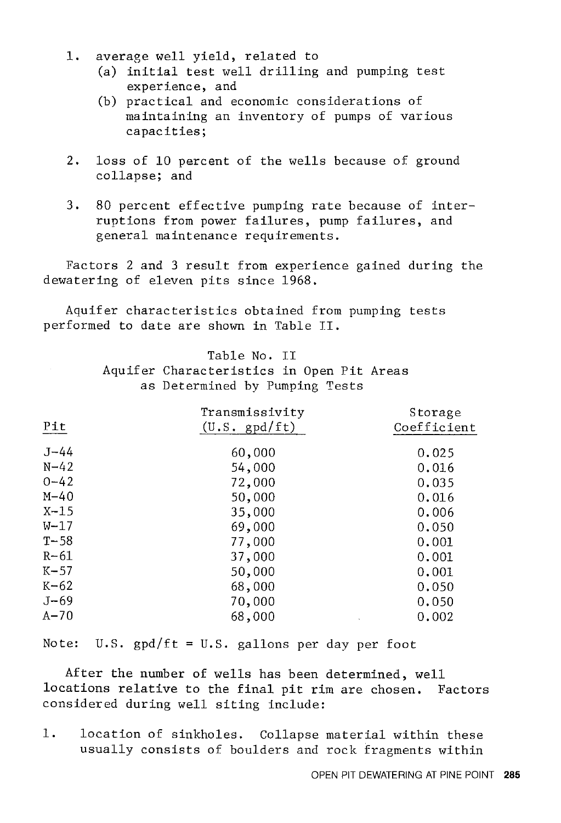- 1. average well yield, related to
	- (a) initial test well drilling and pumping test experience, and
	- (b) practical and economic considerations of maintaining an inventory of pumps of various capacities;
- 2. loss of 10 percent of the wells because of ground collapse; and
- 3. 80 percent effective pumping rate because of interruptions from power failures, pump failures, and general maintenance requirements.

Factors 2 and 3 result from experience gained during the dewatering of eleven pits since 1968.

Aquifer characteristics obtained from pumping tests performed to date are shown in Table II.

# Table No. II

Aquifer Characteristics in Open Pit Areas as Determined by Pumping Tests

| Pit      | Transmissivity<br>$(U.S. \text{ gpd/ft})$ | Storage<br>Coefficient |
|----------|-------------------------------------------|------------------------|
| $J - 44$ | 60,000                                    | 0.025                  |
| $N - 42$ | 54,000                                    | 0.016                  |
| $0 - 42$ | 72,000                                    | 0.035                  |
| $M - 40$ | 50,000                                    | 0.016                  |
| $X-15$   | 35,000                                    | 0.006                  |
| $W-17$   | 69,000                                    | 0.050                  |
| $T - 58$ | 77,000                                    | 0.001                  |
| $R-61$   | 37,000                                    | 0.001                  |
| $K-57$   | 50,000                                    | 0.001                  |
| $K-62$   | 68,000                                    | 0.050                  |
| $J - 69$ | 70,000                                    | 0.050                  |
| $A - 70$ | 68,000                                    | 0.002                  |

Note: U.S.  $gpd/ft = U.S.$  gallons per day per foot

After the number of wells has been determined, well locations relative to the final pit rim are chosen. Factors considered during well siting include:

1. location of sinkholes. Collapse material within these usually consists of boulders and rock fragments within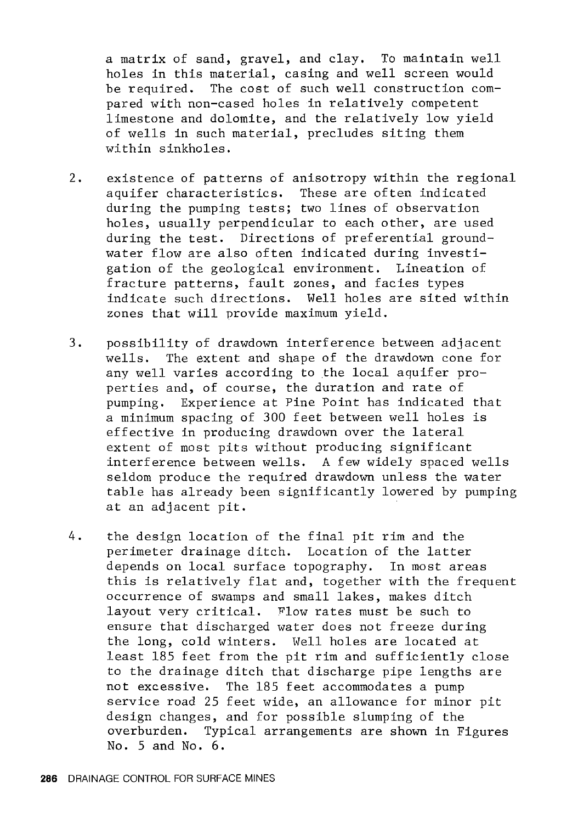a matrix of sand, gravel, and clay. To maintain well holes in this material, casing and well screen would be required. The cost of such well construction compared with non-cased holes in relatively competent limestone and dolomite, and the relatively low yield of wells in such material, precludes siting them within sinkholes.

- 2. existence of patterns of anisotropy within the regional aquifer characteristics. These are often indicated during the pumping tests; two lines of observation holes, usually perpendicular to each other, are used during the test. Directions of preferential groundwater flow are also often indicated during investigation of the geological environment. Lineation of fracture patterns, fault zones, and facies types indicate such directions. Well holes are sited within zones that will provide maximum yield.
- 3. possibility of drawdown interference between adjacent wells. The extent and shape of the drawdown cone for any well varies according to the local aquifer properties and, of course, the duration and rate of pumping. Experience at Pine Point has indicated that a minimum spacing of 300 feet between well holes is effective in producing drawdown over the lateral extent of most pits without producing significant interference between wells. A few widely spaced wells seldom produce the required drawdown unless the water table has already been significantly lowered by pumping at an adjacent pit.
- 4. the design location of the final pit rim and the perimeter drainage ditch. Location of the latter depends on local surface topography. In most areas this is relatively flat and, together with the frequent occurrence of swamps and small lakes, makes ditch layout very critical. Flow rates must be such to ensure that discharged water does not freeze during the long, cold winters. Well holes are located at least 185 feet from the pit rim and sufficiently close to the drainage ditch that discharge pipe lengths are not excessive. The 185 feet accommodates a pump service road 25 feet wide, an allowance for minor pit design changes, and for possible slumping of the overburden. Typical arrangements are shown in Figures No. 5 and No. 6.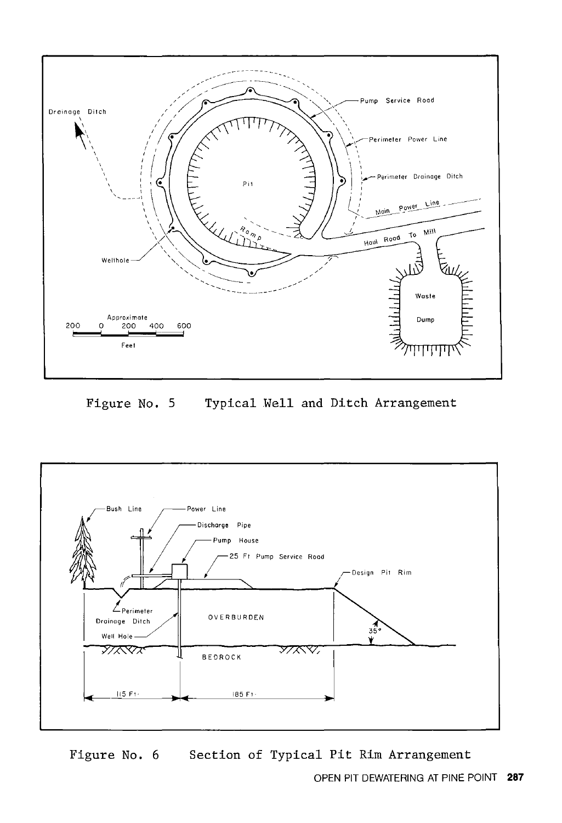

Figure No. 5 Typical Well and Ditch Arrangement



Figure No. 6 Section of Typical Pit Rim Arrangement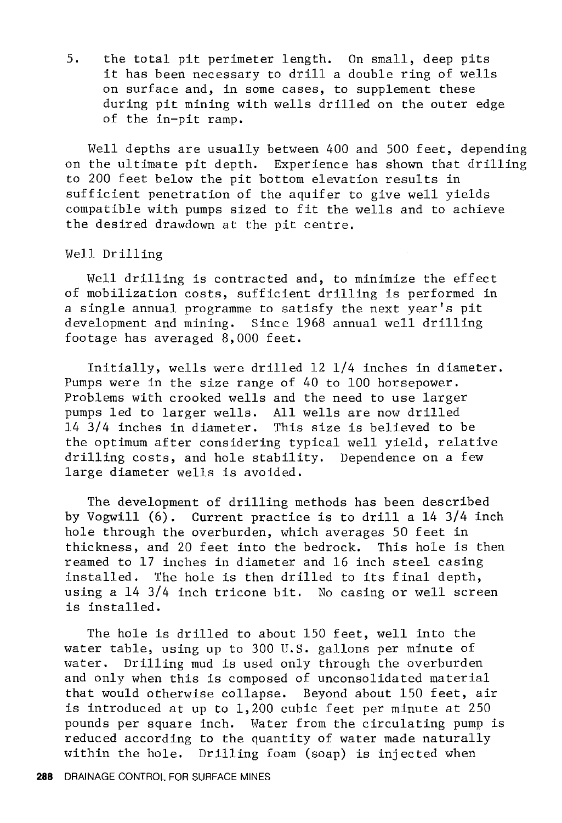5. the total pit perimeter length. On small, deep pits it has been necessary to drill a double ring of wells on surface and, in some cases, to supplement these during pit mining with wells drilled on the outer edge of the in-pit ramp.

Well depths are usually between 400 and 500 feet, depending on the ultimate pit depth. Experience has shown that drilling to 200 feet below the pit bottom elevation results in sufficient penetration of the aquifer to give well yields compatible with pumps sized to fit the wells and to achieve the desired drawdown at the pit centre.

Well Drilling

Well drilling is contracted and, to minimize the effect of mobilization costs, sufficient drilling is performed in a single annual programme to satisfy the next year's pit development and mining. Since 1968 annual well drilling footage has averaged 8,000 feet.

Initially, wells were drilled 12 1/4 inches in diameter. Pumps were in the size range of 40 to 100 horsepower. Problems with crooked wells and the need to use larger pumps led to larger wells. All wells are now drilled 14 3/4 inches in diameter. This size is believed to be the optimum after considering typical well yield, relative drilling costs, and hole stability. Dependence on a few large diameter wells is avoided.

The development of drilling methods has been described by Vogwill (6). Current practice is to drill a 14 3/4 inch hole through the overburden, which averages 50 feet in thickness, and 20 feet into the bedrock. This hole is then reamed to 17 inches in diameter and 16 inch steel casing installed. The hole is then drilled to its final depth, using a 14 3/4 inch tricone bit. No casing or well screen is installed.

The hole is drilled to about 150 feet, well into the water table, using up to 300 U.S. gallons per minute of water. Drilling mud is used only through the overburden and only when this is composed of unconsolidated material that would otherwise collapse. Beyond about 150 feet, air is introduced at up to 1,200 cubic feet per minute at 250 pounds per square inch. Water from the circulating pump is reduced according to the quantity of water made naturally within the hole. Drilling foam (soap) is injected when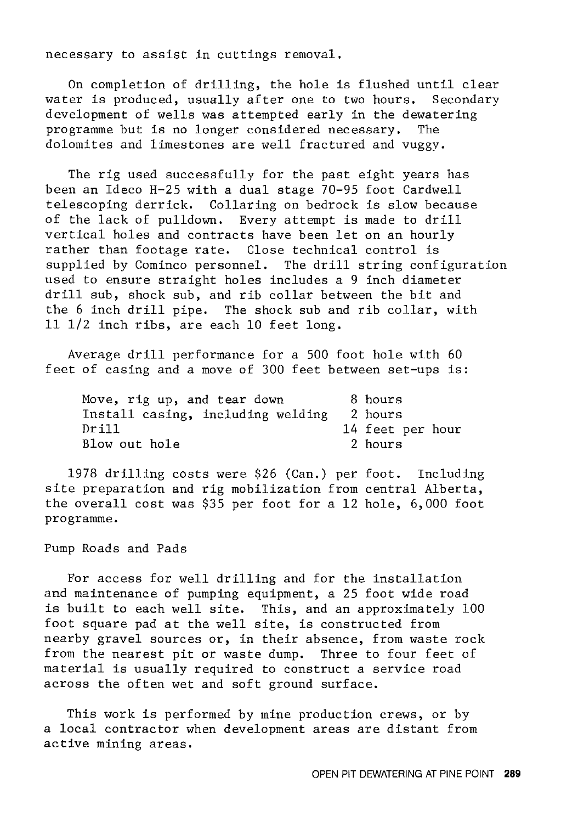necessary to assist in cuttings removal.

On completion of drilling, the hole is flushed until clear water is produced, usually after one to two hours. Secondary development of wells was attempted early in the dewatering<br>programme but is no longer considered necessary. The programme but is no longer considered necessary. dolomites and limestones are well fractured and vuggy.

The rig used successfully for the past eight years has been an Ideco H-25 with a dual stage 70-95 foot Cardwell telescoping derrick. Collaring on bedrock is slow because of the lack of pulldown. Every attempt is made to drill vertical holes and contracts have been let on an hourly rather than footage rate. Close technical control is supplied by Cominco personnel. The drill string configuration used to ensure straight holes includes a 9 inch diameter drill sub, shock sub, and rib collar between the bit and the 6 inch drill pipe. The shock sub and rib collar, with 11 1/2 inch ribs, are each 10 feet long.

Average drill performance for a 500 foot hole with 60 feet of casing and a move of 300 feet between set-ups is:

| Move, rig up, and tear down       | 8 hours          |
|-----------------------------------|------------------|
| Install casing, including welding | 2 hours          |
| Drill                             | 14 feet per hour |
| Blow out hole                     | 2 hours          |

1978 drilling costs were \$26 (Can.) per foot. Including site preparation and rig mobilization from central Alberta, the overall cost was \$35 per foot for a 12 hole, 6,000 foot programme.

# Pump Roads and Pads

For access for well drilling and for the installation and maintenance of pumping equipment, a 25 foot wide road is built to each well site. This, and an approximately 100 foot square pad at the well site, is constructed from nearby gravel sources or, in their absence, from waste rock from the nearest pit or waste dump. Three to four feet of material is usually required to construct a service road across the often wet and soft ground surface.

This work is performed by mine production crews, or by a local contractor when development areas are distant from active mining areas.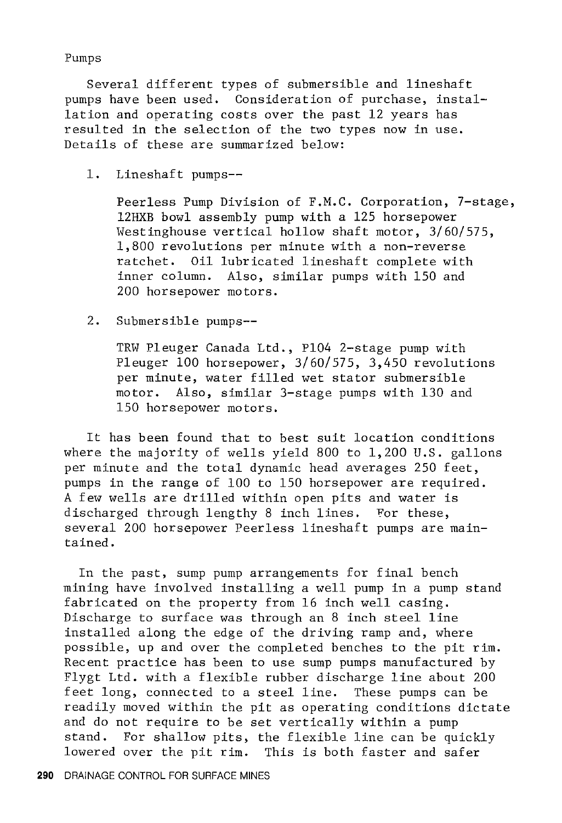Pumps

Several different types of submersible and lineshaft pumps have been used. Consideration of purchase, installation and operating costs over the past 12 years has resulted in the selection of the two types now in use. Details of these are summarized below:

1. Lineshaft pumps--

Peerless Pump Division of F.M.C. Corporation, 7-stage, 12HXB bowl assembly pump with a 125 horsepower Westinghouse vertical hollow shaft motor, 3/60/575, 1, 800 revolutions per minute with a non-reverse ratchet. Oil lubricated lineshaft complete with inner column. Also, similar pumps with 150 and 200 horsepower motors.

2. Submersible pumps--

TRW Pleuger Canada Ltd., Pl04 2-stage pump with Pleuger 100 horsepower, 3/60/575, 3,450 revolutions per minute, water filled wet stator submersible motor. Also, similar 3-stage pumps with 130 and 150 horsepower motors.

It has been found that to best suit location conditions where the majority of wells yield 800 to 1,200 U.S. gallons per minute and the total dynamic head averages 250 feet, pumps in the range of 100 to 150 horsepower are required. A few wells are drilled within open pits and water is discharged through lengthy 8 inch lines. For these, several 200 horsepower Peerless lineshaft pumps are maintained.

In the past, sump pump arrangements for final bench mining have involved installing a well pump in a pump stand fabricated on the property from 16 inch well casing. Discharge to surface was through an 8 inch steel line installed along the edge of the driving ramp and, where possible, up and over the completed benches to the pit rim. Recent practice has been to use sump pumps manufactured by Flygt Ltd. with a flexible rubber discharge line about 200 feet long, connected to a steel line. These pumps can be readily moved within the pit as operating conditions dictate and do not require to be set vertically within a pump stand. For shallow pits, the flexible line can be quickly lowered over the pit rim. This is both faster and safer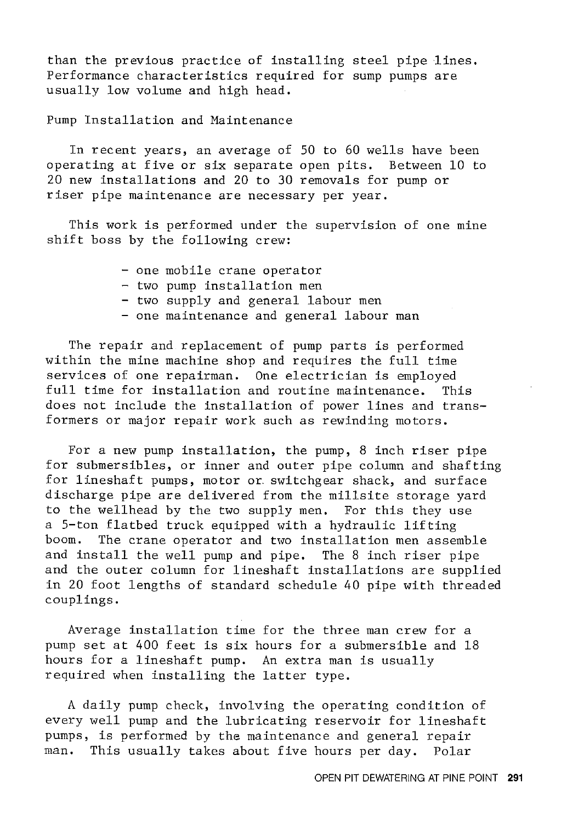than the previous practice of installing steel pipe lines. Performance characteristics required for sump pumps are usually low volume and high head.

Pump Installation and Maintenance

In recent years, an average of 50 to 60 wells have been operating at five or six separate open pits. Between 10 to 20 new installations and 20 to 30 removals for pump or riser pipe maintenance are necessary per year.

This work is performed under the supervision of one mine shift boss by the following crew:

|  | - one mobile crane operator              |  |
|--|------------------------------------------|--|
|  | - two pump installation men              |  |
|  | - two supply and general labour men      |  |
|  | - one maintenance and general labour man |  |
|  |                                          |  |

The repair and replacement of pump parts is performed within the mine machine shop and requires the full time services of one repairman. One electrician is employed full time for installation and routine maintenance. This does not include the installation of power lines and transformers or major repair work such as rewinding motors.

For a new pump installation, the pump, 8 inch riser pipe for submersibles, or inner and outer pipe column and shafting for lineshaft pumps, motor or. switchgear shack, and surface discharge pipe are delivered from the millsite storage yard to the wellhead by the two supply men. For this they use a 5-ton flatbed truck equipped with a hydraulic lifting<br>boom. The crane operator and two installation men assem The crane operator and two installation men assemble and install the well pump and pipe. The 8 inch riser pipe and the outer column for lineshaft installations are supplied in 20 foot lengths of standard schedule 40 pipe with threaded couplings.

Average installation time for the three man crew for a pump set at 400 feet is six hours for a submersible and 18 hours for a lineshaft pump. An extra man is usually required when installing the latter type.

A daily pump check, involving the operating condition of every well pump and the lubricating reservoir for lineshaft pumps, is performed by the maintenance and general repair man. This usually takes about five hours per day. Polar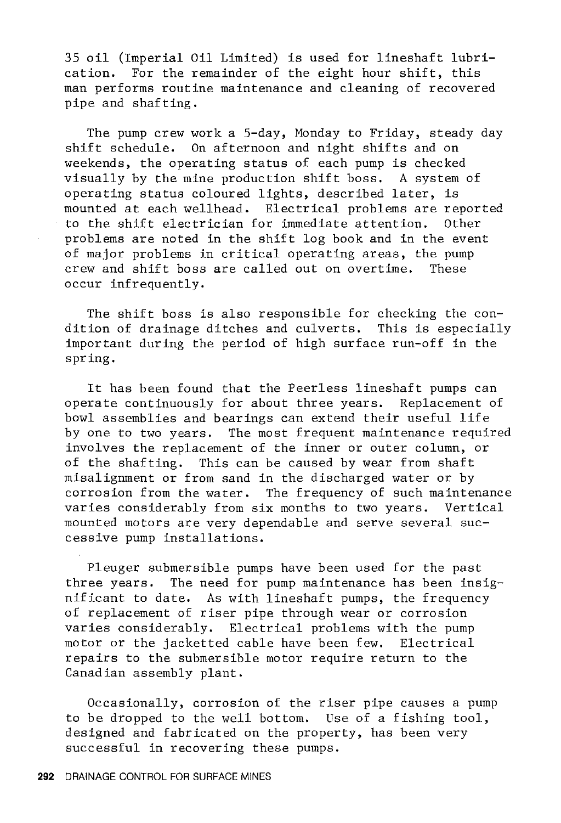35 oil (Imperial Oil Limited) is used for lineshaft lubri-For the remainder of the eight hour shift, this man performs routine maintenance and cleaning of recovered pipe and shafting.

The pump crew work a 5-day, Monday to Friday, steady day shift schedule. On afternoon and night shifts and on weekends, the operating status of each pump is checked visually by the mine production shift boss. A system of operating status coloured lights, described later, is mounted at each wellhead. Electrical problems are reported<br>to the shift electrician for immediate attention. Other to the shift electrician for immediate attention. problems are noted in the shift log book and in the event of major problems in critical operating areas, the pump crew and shift boss are called out on overtime. These occur infrequently.

The shift boss is also responsible for checking the condition of drainage ditches and culverts. This is especially important during the period of high surface run-off in the spring.

It has been found that the Peerless lineshaft pumps can operate continuously for about three years. Replacement of bowl assemblies and bearings can extend their useful life by one to two years. The most frequent maintenance required involves the replacement of the inner or outer column, or of the shafting. This can be caused by wear from shaft misalignment or from sand in the discharged water or by corrosion from the water. The frequency of such maintenance varies considerably from six months to two years. Vertical mounted motors are very dependable and serve several successive pump installations.

Pleuger submersible pumps have been used for the past three years. The need for pump maintenance has been insignificant to date. As with lineshaft pumps, the frequency of replacement of riser pipe through wear or corrosion varies considerably. Electrical problems with the pump motor or the jacketted cable have been few. Electrical repairs to the submersible motor require return to the Canadian assembly plant.

Occasionally, corrosion of the riser pipe causes a pump to be dropped to the well bottom. Use of a fishing tool, designed and fabricated on the property, has been very successful in recovering these pumps.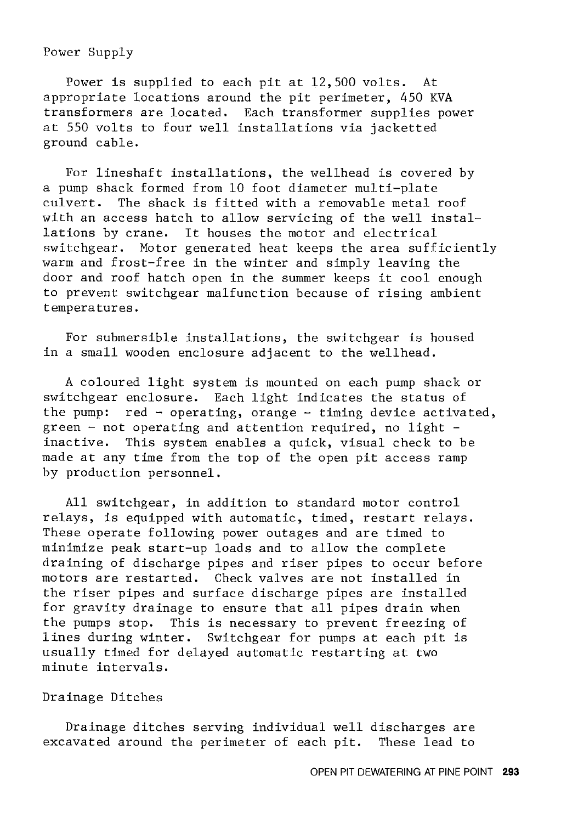# Power Supply

Power is supplied to each pit at 12,500 volts. At appropriate locations around the pit perimeter, 450 KVA transformers are located. Each transformer supplies power at 550 volts to four well installations via jacketted ground cable.

For lineshaft installations, the wellhead is covered by a pump shack formed from 10 foot diameter multi-plate culvert. The shack is fitted with a removable metal roof with an access hatch to allow servicing of the well installations by crane. It houses the motor and electrical switchgear. Motor generated heat keeps the area sufficiently warm and frost-free in the winter and simply leaving the door and roof hatch open in the summer keeps it cool enough to prevent switchgear malfunction because of rising ambient temperatures.

For submersible installations, the switchgear is housed in a small wooden enclosure adjacent to the wellhead.

A coloured light system is mounted on each pump shack or switchgear enclosure. Each light indicates the status of the pump: red - operating, orange - timing device activated, green - not operating and attention required, no light inactive. This system enables a quick, visual check to be made at any time from the top of the open pit access ramp by production personnel.

All switchgear, in addition to standard motor control relays, is equipped with automatic, timed, restart relays. These operate following power outages and are timed to minimize peak start-up loads and to allow the complete draining of discharge pipes and riser pipes to occur before motors are restarted. Check valves are not installed in the riser pipes and surface discharge pipes are installed for gravity drainage to ensure that all pipes drain when the pumps stop. This is necessary to prevent freezing of lines during winter. Switchgear for pumps at each pit is usually timed for delayed automatic restarting at two minute intervals.

# Drainage Ditches

Drainage ditches serving individual well discharges are excavated around the perimeter of each pit. These lead to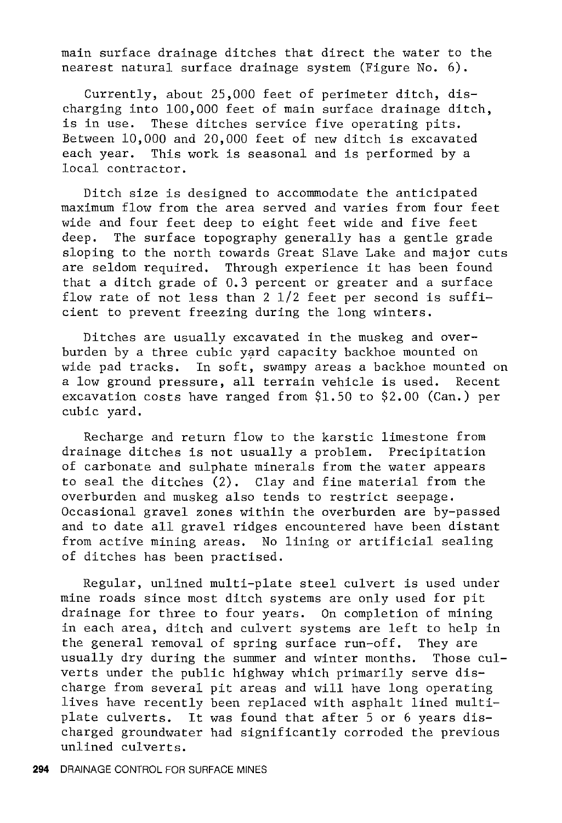main surface drainage ditches that direct the water to the nearest natural surface drainage system (Figure No. 6).

Currently, about 25,000 feet of perimeter ditch, discharging into 100,000 feet of main surface drainage ditch, is in use. These ditches service five operating pits. Between 10,000 and 20,000 feet of new ditch is excavated each year. This work is seasonal and is performed by a local contractor.

Ditch size is designed to accommodate the anticipated maximum flow from the area served and varies from four feet wide and four feet deep to eight feet wide and five feet deep. The surface topography generally has a gentle grade sloping to the north towards Great Slave Lake and major cuts are seldom required. Through experience it has been found that a ditch grade of 0.3 percent or greater and a surface flow rate of not less than 2 1/2 feet per second is sufficient to prevent freezing during the long winters.

Ditches are usually excavated in the muskeg and overburden by a three cubic yard capacity backhoe mounted on wide pad tracks. In soft, swampy areas a backhoe mounted on a low ground pressure, all terrain vehicle is used. Recent excavation costs have ranged from \$1.50 to \$2.00 (Can.) per cubic yard.

Recharge and return flow to the karstic limestone from drainage ditches is not usually a problem. Precipitation of carbonate and sulphate minerals from the water appears to seal the ditches (2). Clay and fine material from the overburden and muskeg also tends to restrict seepage. Occasional gravel zones within the overburden are by-passed and to date all gravel ridges encountered have been distant from active mining areas. No lining or artificial sealing of ditches has been practised.

Regular, unlined multi-plate steel culvert is used under mine roads since most ditch systems are only used for pit drainage for three to four years. On completion of mining in each area, ditch and culvert systems are left to help in the general removal of spring surface run-off. They are usually dry during the summer and winter months. Those culverts under the public highway which primarily serve discharge from several pit areas and will have long operating lives have recently been replaced with asphalt lined multiplate culverts. It was found that after 5 or 6 years discharged groundwater had significantly corroded the previous unlined culverts.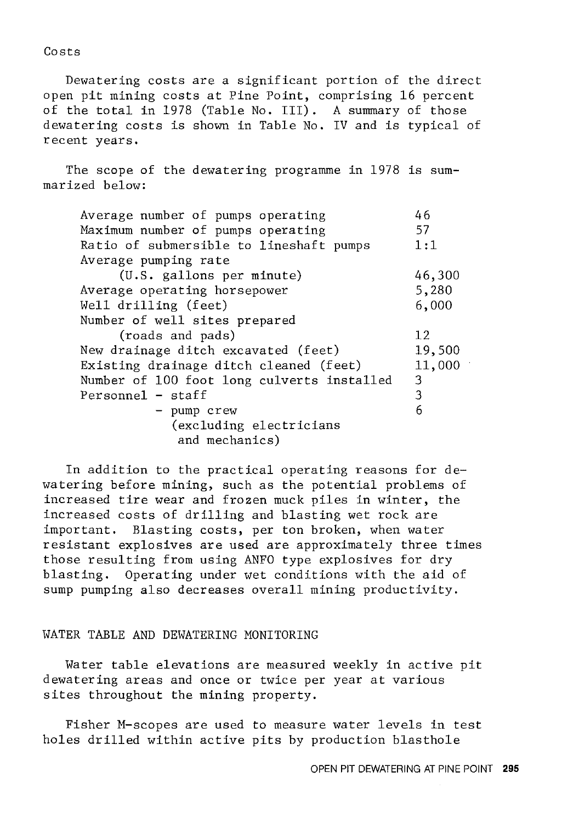Costs

Dewatering costs are a significant portion of the direct open pit mining costs at Pine Point, comprising 16 percent of the total in 1978 (Table No. III). A summary of those dewatering costs is shown in Table No. IV and is typical of recent years.

The scope of the dewatering programme in 1978 is summarized below:

| Average number of pumps operating          | 46     |
|--------------------------------------------|--------|
| Maximum number of pumps operating          | 57     |
| Ratio of submersible to lineshaft pumps    | 1:1    |
| Average pumping rate                       |        |
| (U.S. gallons per minute)                  | 46,300 |
| Average operating horsepower               | 5,280  |
| Well drilling (feet)                       | 6,000  |
| Number of well sites prepared              |        |
| (roads and pads)                           | 12     |
| New drainage ditch excavated (feet)        | 19,500 |
| Existing drainage ditch cleaned (feet)     | 11,000 |
| Number of 100 foot long culverts installed | 3      |
| $Personnel - staff$                        | 3      |
| - pump crew                                | 6      |
| (excluding electricians                    |        |
| and mechanics)                             |        |

In addition to the practical operating reasons for dewa tering before mining, such as the potential problems of increased tire wear and frozen muck piles in winter, the increased costs of drilling and blasting wet rock are important. Blasting costs, per ton broken, when water resistant explosives are used are approximately three times those resulting from using ANFO type explosives for dry blasting. Operating under wet conditions with the aid of sump pumping also decreases overall mining productivity.

#### WATER TABLE AND DEWATERING MONITORING

Water table elevations are measured weekly in active pit dewatering areas and once or twice per year at various sites throughout the mining property.

Fisher M-scopes are used to measure water levels in test holes drilled within active pits by production blasthole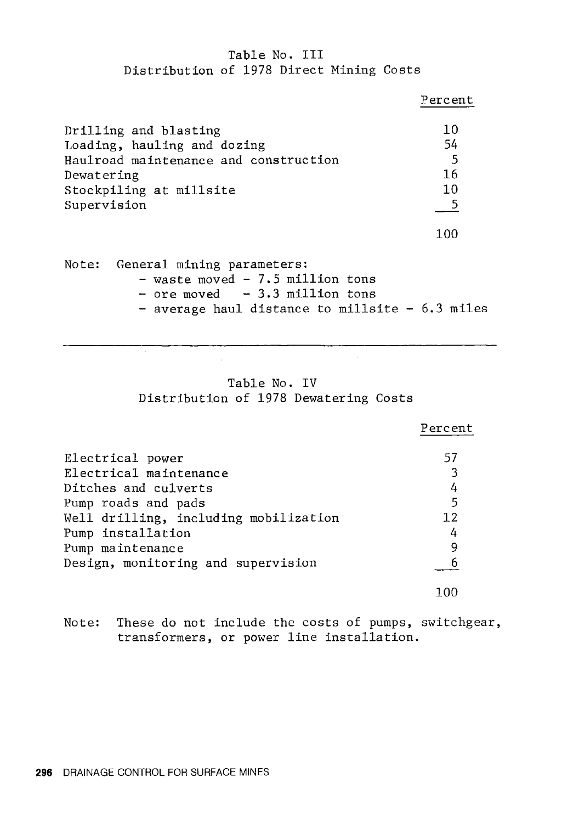# Table No. III Distribution of 1978 Direct Mining Costs

|                                       | Percent |
|---------------------------------------|---------|
| Drilling and blasting                 | 10      |
| Loading, hauling and dozing           | 54      |
| Haulroad maintenance and construction | -5      |
| Dewatering                            | 16      |
| Stockpiling at millsite               | 10      |
| Supervision                           | - 5     |
|                                       | 100     |
| General mining parameters:<br>Note:   |         |

| - average haul distance to millsite $-6.3$ miles |
|--------------------------------------------------|
|                                                  |

# Table No. IV Distribution of 1978 Dewatering Costs

|                                       | Percent |
|---------------------------------------|---------|
| Electrical power                      | 57      |
| Electrical maintenance                | 3       |
| Ditches and culverts                  | 4       |
| Pump roads and pads                   | 5       |
| Well drilling, including mobilization | 12      |
| Pump installation                     | 4       |
| Pump maintenance                      | 9       |
| Design, monitoring and supervision    |         |
|                                       | 100     |

Note: These do not include the costs of pumps, switchgear, transformers, or power line installation.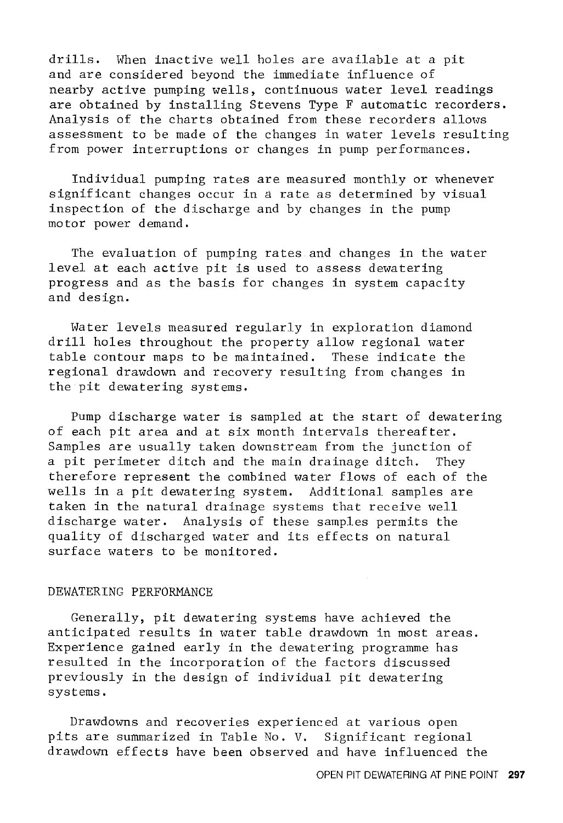drills. When inactive well holes are available at a pit and are considered beyond the immediate influence of nearby active pumping wells, continuous water level readings are obtained by installing Stevens Type F automatic recorders. Analysis of the charts obtained from these recorders allows assessment to be made of the changes in water levels resulting from power interruptions or changes in pump performances.

Individual pumping rates are measured monthly or whenever significant changes occur in a rate as determined by visual inspection of the discharge and by changes in the pump motor power demand.

The evaluation of pumping rates and changes in the water level at each active pit is used to assess dewatering progress and as the basis for changes in system capacity and design.

Water levels measured regularly in exploration diamond drill holes throughout the property allow regional water table contour maps to be maintained. These indicate the regional drawdown and recovery resulting from changes in the pit dewatering systems.

Pump discharge water is sampled at the start of dewatering of each pit area and at six month intervals thereafter. Samples are usually taken downstream from the junction of a pit perimeter ditch and the main drainage ditch. They therefore represent the combined water flows of each of the wells in a pit dewatering system. Additional samples are taken in the natural drainage systems that receive well discharge water. Analysis of these samples permits the quality of discharged water and its effects on natural surface waters to be monitored.

# DEWATERING PERFORMANCE

Generally, pit dewatering systems have achieved the anticipated results in water table drawdown in most areas. Experience gained early in the dewatering programme has resulted in the incorporation of the factors discussed previously in the design of individual pit dewatering systems.

Drawdowns and recoveries experienced at various open pits are summarized in Table No. V. Significant regional drawdown effects have been observed and have influenced the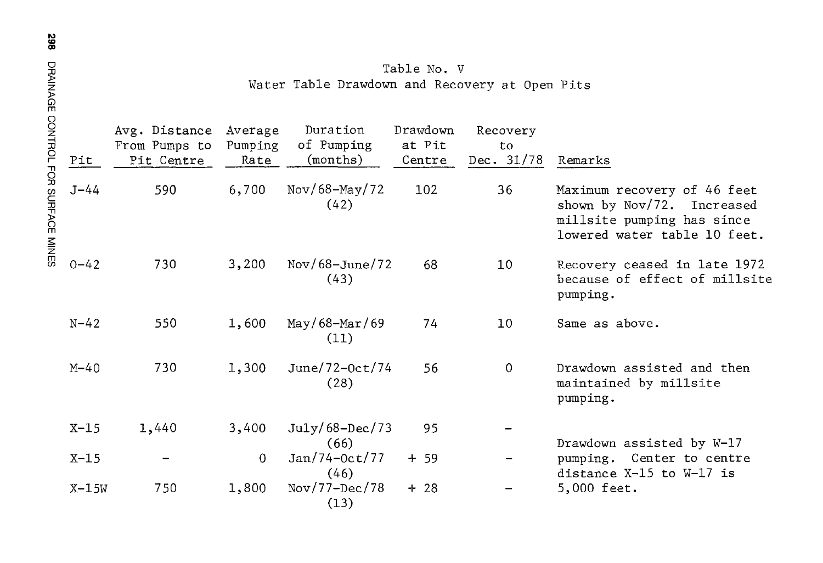|                                      | Pit      | Avg. Distance<br>From Pumps to<br>Pit Centre | Average<br>Pumping<br>Rate | Duration<br>of Pumping<br>(months) | Drawdown<br>at Pit<br>Centre | Recovery<br>to<br>Dec. 31/78 | Remarks                                                                                                                 |
|--------------------------------------|----------|----------------------------------------------|----------------------------|------------------------------------|------------------------------|------------------------------|-------------------------------------------------------------------------------------------------------------------------|
| <b>NOR CONTROL LOB SCHLACE NINES</b> | $J - 44$ | 590                                          | 6,700                      | Nov/68-May/72<br>(42)              | 102                          | 36                           | Maximum recovery of 46 feet<br>shown by Nov/72. Increased<br>millsite pumping has since<br>lowered water table 10 feet. |
|                                      | $0 - 42$ | 730                                          | 3,200                      | $Nov/68 - June/72$<br>(43)         | 68                           | 10                           | Recovery ceased in late 1972<br>because of effect of millsite<br>pumping.                                               |
|                                      | $N - 42$ | 550                                          | 1,600                      | May/68-Mar/69<br>(11)              | 74                           | 10                           | Same as above.                                                                                                          |
|                                      | $M-40$   | 730                                          | 1,300                      | June/72-0ct/74<br>(28)             | 56                           | $\Omega$                     | Drawdown assisted and then<br>maintained by millsite<br>pumping.                                                        |
|                                      | $X-15$   | 1,440                                        | 3,400                      | July/68-Dec/73<br>(66)             | 95                           |                              | Drawdown assisted by W-17                                                                                               |
|                                      | $X-15$   |                                              | $\Omega$                   | $Jan/74-Oct/77$<br>(46)            | $+ 59$                       |                              | pumping. Center to centre<br>distance X-15 to W-17 is                                                                   |
|                                      | $X-15W$  | 750                                          | 1,800                      | $Nov/77-Dec/78$<br>(13)            | $+28$                        |                              | 5,000 feet.                                                                                                             |

Table No. V Water Table Drawdown and Recovery at Open Pits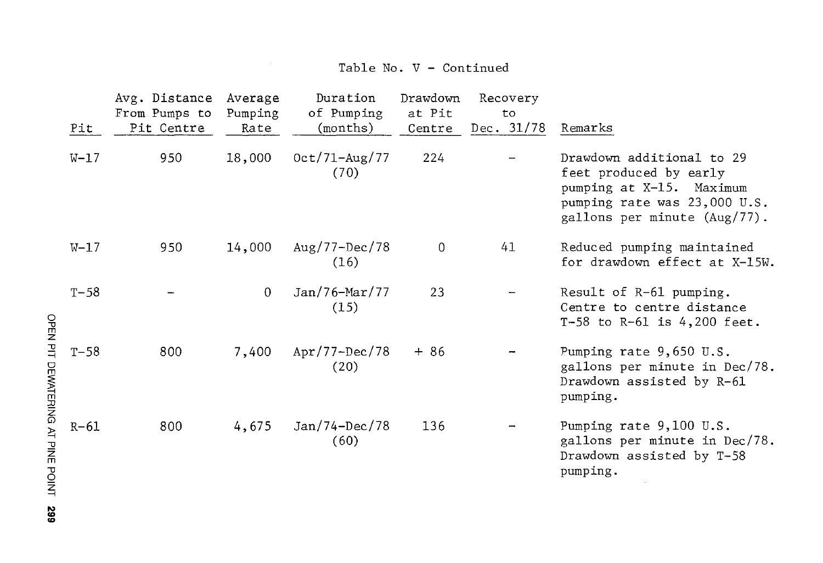# Table No. V - Continued

|                        | Pit      | Avg. Distance<br>From Pumps to<br>Pit Centre | Average<br>Pumping<br>Rate | Duration<br>of Pumping<br>(months) | Drawdown<br>at Pit<br>Centre | Recovery<br>to<br>Dec. $31/78$ | Remarks                                                                                                                                         |
|------------------------|----------|----------------------------------------------|----------------------------|------------------------------------|------------------------------|--------------------------------|-------------------------------------------------------------------------------------------------------------------------------------------------|
|                        | $W-17$   | 950                                          | 18,000                     | $0ct/71 - Aug/77$<br>(70)          | 224                          |                                | Drawdown additional to 29<br>feet produced by early<br>pumping at X-15. Maximum<br>pumping rate was 23,000 U.S.<br>gallons per minute (Aug/77). |
|                        | $W-17$   | 950                                          | 14,000                     | $Aug/77 - Dec/78$<br>(16)          | 0                            | 41                             | Reduced pumping maintained<br>for drawdown effect at X-15W.                                                                                     |
| <b>OPEN PIT</b>        | $T - 58$ |                                              | $\mathbf{0}$               | $Jan/76-Mar/77$<br>(15)            | 23                           |                                | Result of R-61 pumping.<br>Centre to centre distance<br>T-58 to R-61 is $4,200$ feet.                                                           |
|                        | $T-58$   | 800                                          | 7,400                      | $Apr/77-Dec/78$<br>(20)            | $+86$                        |                                | Pumping rate 9,650 U.S.<br>gallons per minute in Dec/78.<br>Drawdown assisted by R-61<br>pumping.                                               |
| DUNATERING AT PINE POL | $R-61$   | 800                                          | 4,675                      | $Jan/74-Dec/78$<br>(60)            | 136                          |                                | Pumping rate 9,100 U.S.<br>gallons per minute in Dec/78.<br>Drawdown assisted by T-58<br>pumping.                                               |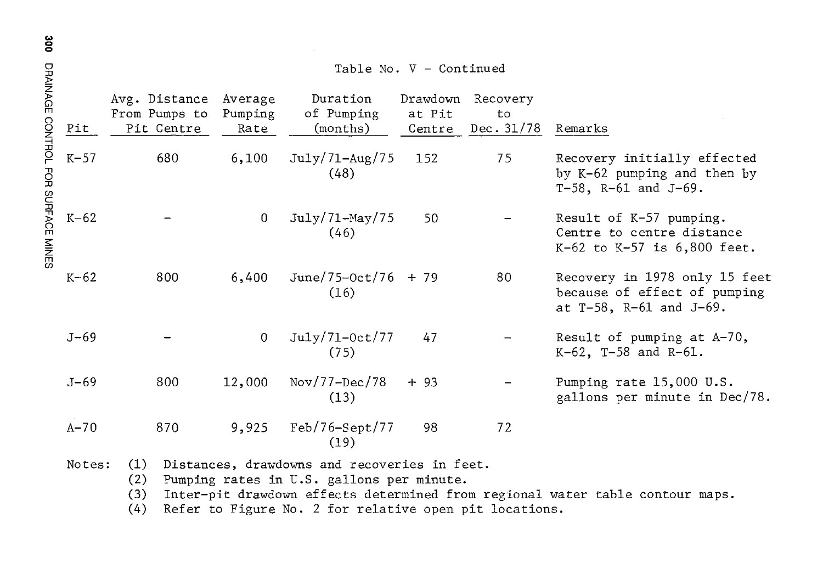|                                     |          | Table No. V - Continued  |                                              |                            |                                                                                                                                                     |                              |                              |                                                                                           |  |
|-------------------------------------|----------|--------------------------|----------------------------------------------|----------------------------|-----------------------------------------------------------------------------------------------------------------------------------------------------|------------------------------|------------------------------|-------------------------------------------------------------------------------------------|--|
|                                     | Pit      |                          | Avg. Distance<br>From Pumps to<br>Pit Centre | Average<br>Pumping<br>Rate | Duration<br>of Pumping<br>(months)                                                                                                                  | Drawdown<br>at Pit<br>Centre | Recovery<br>to<br>Dec. 31/78 | Remarks                                                                                   |  |
| DRAINAGE CONTROL FOR SURFACE MINERS | $K-57$   |                          | 680                                          | 6,100                      | July/71–Aug/75<br>(48)                                                                                                                              | 152                          | 75                           | Recovery initially effected<br>by K-62 pumping and then by<br>T-58, $R-61$ and $J-69$ .   |  |
|                                     | $K-62$   |                          |                                              | $\mathbf 0$                | $July/71-May/75$<br>(46)                                                                                                                            | 50                           |                              | Result of K-57 pumping.<br>Centre to centre distance<br>$K-62$ to $K-57$ is $6,800$ feet. |  |
|                                     | $K-62$   |                          | 800                                          | 6,400                      | $June/75-Oct/76 + 79$<br>(16)                                                                                                                       |                              | 80                           | Recovery in 1978 only 15 feet<br>because of effect of pumping<br>at T-58, R-61 and J-69.  |  |
|                                     | $J - 69$ |                          |                                              | $\overline{0}$             | July/71-0ct/77<br>(75)                                                                                                                              | 47                           |                              | Result of pumping at A-70,<br>$K-62$ , T-58 and R-61.                                     |  |
|                                     | $J - 69$ |                          | 800                                          | 12,000                     | $Nov/77-Dec/78$<br>(13)                                                                                                                             | $+93$                        |                              | Pumping rate 15,000 U.S.<br>gallons per minute in Dec/78.                                 |  |
|                                     | $A - 70$ |                          | 870                                          | 9,925                      | $Feb/76-Sept/77$<br>(19)                                                                                                                            | 98                           | 72                           |                                                                                           |  |
|                                     | Notes:   | (1)<br>(2)<br>(3)<br>(4) |                                              |                            | Distances, drawdowns and recoveries in feet.<br>Pumping rates in U.S. gallons per minute.<br>Refer to Figure No. 2 for relative open pit locations. |                              |                              | Inter-pit drawdown effects determined from regional water table contour maps.             |  |

Co> 0 0 DRAINAGE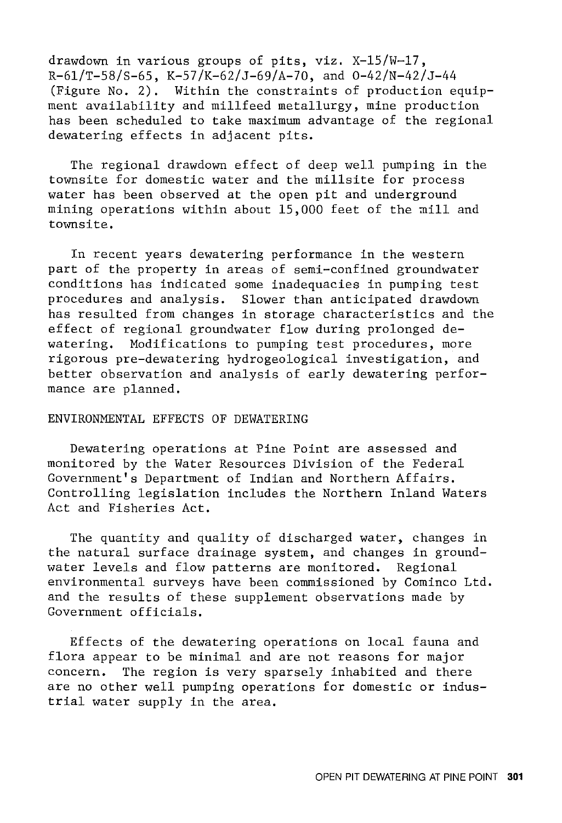drawdown in various groups of pits, viz. X-15/W-17,  $R-61/T-58/S-65$ ,  $K-57/K-62/J-69/A-70$ , and  $0-42/N-42/J-44$ (Figure No. 2). Within the constraints of production equipment availability and millfeed metallurgy, mine production has been scheduled to take maximum advantage of the regional dewatering effects in adjacent pits.

The regional drawdown effect of deep well pumping in the townsite for domestic water and the millsite for process water has been observed at the open pit and underground mining operations within about  $15,000$  feet of the mill and townsite.

In recent years dewatering performance in the western part of the property in areas of semi-confined groundwater conditions has indicated some inadequacies in pumping test procedures and analysis. Slower than anticipated drawdown has resulted from changes in storage characteristics and the effect of regional groundwater flow during prolonged dewatering. Modifications to pumping test procedures, more rigorous pre-dewatering hydrogeological investigation, and better observation and analysis of early dewatering performance are planned.

# ENVIRONMENTAL EFFECTS OF DEWATERING

Dewatering operations at Pine Point are assessed and monitored by the Water Resources Division of the Federal Government's Department of Indian and Northern Affairs. Controlling legislation includes the Northern Inland Waters Act and Fisheries Act.

The quantity and quality of discharged water, changes in the natural surface drainage system, and changes in groundwater levels and flow patterns are monitored. Regional environmental surveys have been commissioned by Cominco Ltd. and the results of these supplement observations made by Government officials.

Effects of the dewatering operations on local fauna and flora appear to be minimal and are not reasons for major concern. The region is very sparsely inhabited and there are no other well pumping operations for domestic or industrial water supply in the area.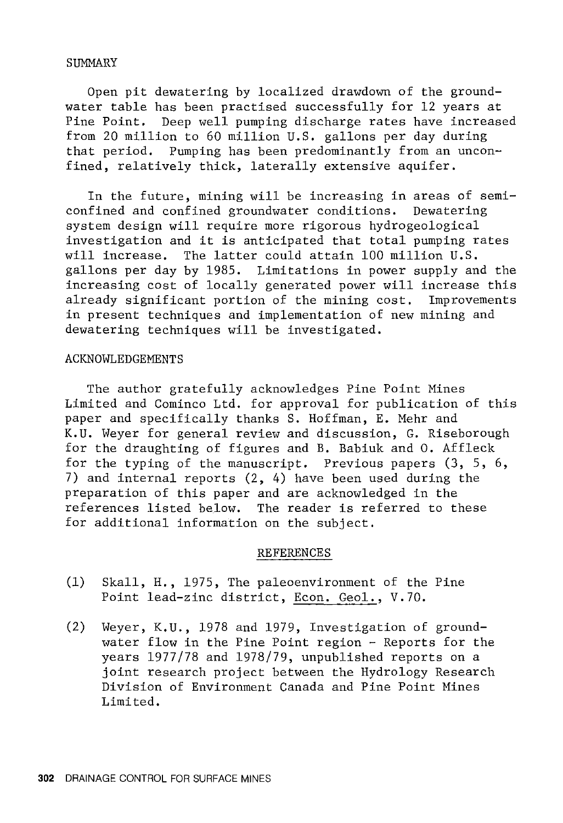# SUMMARY

Open pit dewatering by localized drawdown of the groundwater table has been practised successfully for 12 years at Pine Point. Deep well pumping discharge rates have increased from 20 million to 60 million U.S. gallons per day during that period. Pumping has been predominantly from an unconfined, relatively thick, laterally extensive aquifer.

In the future, mining will be increasing in areas of semiconfined and confined groundwater conditions. Dewatering system design will require more rigorous hydrogeological investigation and it is anticipated that total pumping rates will increase. The latter could attain 100 million U.S. gallons per day by 1985. Limitations in power supply and the increasing cost of locally generated power will increase this already significant portion of the mining cost. Improvements in present techniques and implementation of new mining and dewatering techniques will be investigated.

#### ACKNOWLEDGEMENTS

The author gratefully acknowledges Pine Point Mines Limited and Cominco Ltd. for approval for publication of this paper and specifically thanks S. Hoffman, E. Mehr and K.U. Weyer for general review and discussion, G. Riseborough for the draughting of figures and B. Babiuk and O. Affleck for the typing of the manuscript. Previous papers (3, 5, 6, 7) and internal reports (2, 4) have been used during the preparation of this paper and are acknowledged in the references listed below. The reader is referred to these for additional information on the subject.

#### REFERENCES

- (1) Skall, H., 1975, The paleoenvironment of the Pine Point lead-zinc district, Econ. Geol., V.70.
- (2) Weyer, K.U., 1978 and 1979, Investigation of groundwater flow in the Pine Point region - Reports for the years 1977/78 and 1978/79, unpublished reports on a joint research project between the Hydrology Research Division of Environment Canada and Pine Point Mines Limited.